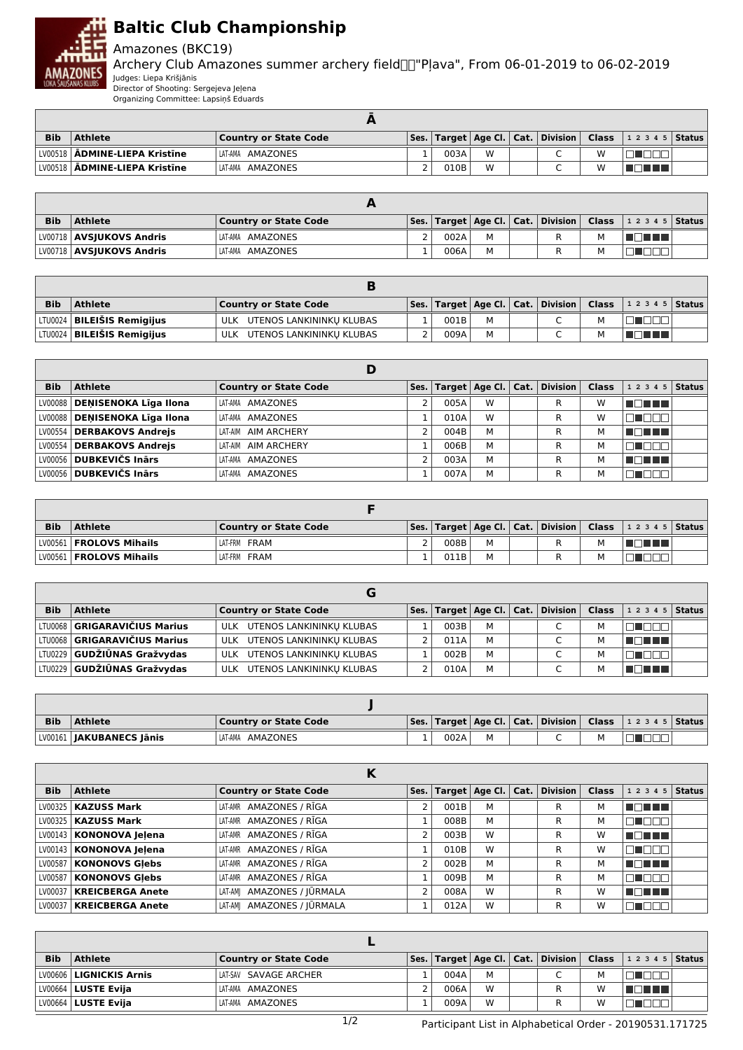

## **Baltic Club Championship**

Amazones (BKC19)

Archery Club Amazones summer archery field "Pļava", From 06-01-2019 to 06-02-2019 Judges: Liepa Krišjānis

Director of Shooting: Sergejeva Jeļena Organizing Committee: Lapsiņš Eduards

| <b>Bib</b> | Athlete                                | <b>Country or State Code</b> |      |   |   |   | $ \mathsf{Ses.} \mathsf{Target} \mathsf{Age}\mathsf{Cl.} \mathsf{Cat.} \mathsf{Division} \mathsf{Class} \mathsf{12345} $ |  |
|------------|----------------------------------------|------------------------------|------|---|---|---|--------------------------------------------------------------------------------------------------------------------------|--|
|            | LV00518   ADMINE-LIEPA Kristine        | LAT-AMA AMAZONES             | 003A | W | ◡ | W |                                                                                                                          |  |
|            | LV00518   <b>ADMINE-LIEPA Kristīne</b> | LAT-AMA AMAZONES             | 010B | W | ֊ | W |                                                                                                                          |  |

| <b>Bib</b> | <b>Athlete</b>                    | <b>Country or State Code</b> |      |   |  |   | $\mid$ Ses. $\mid$ Target $\mid$ Age Cl. $\mid$ Cat. $\mid$ Division $\mid$ Class $\mid$ 1 2 3 4 5 $\mid$ Status $\mid$ |  |
|------------|-----------------------------------|------------------------------|------|---|--|---|-------------------------------------------------------------------------------------------------------------------------|--|
|            | LV00718   <b>AVSJUKOVS Andris</b> | LAT-AMA AMAZONES             | 002A | M |  |   | T F F F                                                                                                                 |  |
|            | LV00718   AVSJUKOVS Andris        | LAT-AMA AMAZONES             | 006A | M |  | М |                                                                                                                         |  |

| <b>Bib</b> | <b>Athlete</b>                      | <b>Country or State Code</b> |      |   |  | $ \mathsf{Ses.} \mathsf{Target} \mathsf{Age}\mathsf{Cl.} \mathsf{Cat.} \mathsf{Division} \mathsf{Class} \mathsf{12345} $ |  |
|------------|-------------------------------------|------------------------------|------|---|--|--------------------------------------------------------------------------------------------------------------------------|--|
|            | LTU0024 <b>  BILEIŠIS Remigijus</b> | ULK UTENOS LANKININKU KLUBAS | 001B | М |  |                                                                                                                          |  |
|            | LTU0024   BILEIŠIS Remigijus        | ULK UTENOS LANKININKU KLUBAS | 009A | М |  | a populati                                                                                                               |  |

|            |                                 | D                            |      |   |                                           |       |                    |  |
|------------|---------------------------------|------------------------------|------|---|-------------------------------------------|-------|--------------------|--|
| <b>Bib</b> | <b>Athlete</b>                  | <b>Country or State Code</b> |      |   | Ses.   Target   Age Cl.   Cat.   Division | Class | 1 2 3 4 5   Status |  |
|            | LV00088   DENISENOKA Līga Ilona | LAT-AMA AMAZONES             | 005A | W | R                                         | W     | T FI FI FI FI      |  |
|            | LV00088   DENISENOKA Līga Ilona | LAT-AMA AMAZONES             | 010A | W | R                                         | W     |                    |  |
|            | LV00554   DERBAKOVS Andrejs     | LAT-AIM AIM ARCHERY          | 004B | M | R                                         | м     | MA METAL           |  |
|            | LV00554   DERBAKOVS Andrejs     | LAT-AIM AIM ARCHERY          | 006B | М | R                                         | м     |                    |  |
|            | LV00056   DUBKEVIČS Inārs       | LAT-AMA AMAZONES             | 003A | М | R                                         | м     | 50 H H H           |  |
|            | LV00056 DUBKEVIČS Inārs         | LAT-AMA AMAZONES             | 007A | м | R                                         | м     |                    |  |

| <b>Bib</b> | <b>Athlete</b>            | <b>Country or State Code</b> |      |   |  | Ses.   Target   Age Cl.   Cat.   Division   Class   1 2 3 4 5   Status |  |
|------------|---------------------------|------------------------------|------|---|--|------------------------------------------------------------------------|--|
|            | LV00561   FROLOVS Mihails | LAT-FRM FRAM                 | 008B | M |  | 70 O O                                                                 |  |
|            | LV00561   FROLOVS Mihails | LAT-FRM FRAM                 | 011B | м |  |                                                                        |  |

| <b>Bib</b> | <b>Athlete</b>                        | <b>Country or State Code</b> |      |   | Ses.   Target   Age Cl.   Cat.   Division | <b>Class</b> | $12345$ Status |  |
|------------|---------------------------------------|------------------------------|------|---|-------------------------------------------|--------------|----------------|--|
|            | LTV0068 <b>  GRIGARAVIČIUS Marius</b> | ULK UTENOS LANKININKU KLUBAS | 003B | м |                                           | M            | $\mathbf{L}$   |  |
|            | LTU0068 <b>  GRIGARAVIČIUS Marius</b> | ULK UTENOS LANKININKU KLUBAS | 011A | M |                                           | M            | TE E E         |  |
|            | LTV0229 GUDŽIŪNAS Gražvydas           | ULK UTENOS LANKININKU KLUBAS | 002B | M |                                           | м            |                |  |
|            | LTV0229 <b>GUDŽIŪNAS Gražvvdas</b>    | ULK UTENOS LANKININKU KLUBAS | 010A | M |                                           | м            | TI TITLE       |  |

| <b>Bib</b> | Athlete                    | Country or State Code |      |  |  | Ses.   Target   Age Cl.   Cat.   Division   Class   1 2 3 4 5   Status |  |
|------------|----------------------------|-----------------------|------|--|--|------------------------------------------------------------------------|--|
|            | LV00161   JAKUBANECS Jānis | AMAZONES<br>LAT-AMA   | 002A |  |  |                                                                        |  |

|            |                            | N                            |      |      |   |                                    |       |                |               |
|------------|----------------------------|------------------------------|------|------|---|------------------------------------|-------|----------------|---------------|
| <b>Bib</b> | <b>Athlete</b>             | <b>Country or State Code</b> | Ses. |      |   | Target   Age Cl.   Cat.   Division | Class | 1 2 3 4 5      | <b>Status</b> |
|            | LV00325   KAZUSS Mark      | LAT-AMR AMAZONES / RĪGA      | 2    | 001B | м | R                                  | м     | N EN HIT       |               |
|            | LV00325   KAZUSS Mark      | LAT-AMR AMAZONES / RĪGA      |      | 008B | М | R.                                 | м     |                |               |
|            | LV00143   KONONOVA Jelena  | LAT-AMR AMAZONES / RĪGA      |      | 003B | W | R                                  | W     | TATITI         |               |
|            | LV00143   KONONOVA Jelena  | LAT-AMR AMAZONES / RĪGA      |      | 010B | W | R.                                 | W     | <b>RI 1888</b> |               |
|            | LV00587   KONONOVS Glebs   | LAT-AMR AMAZONES / RĪGA      |      | 002B | M | R                                  | м     | T FIFTI TILL   |               |
|            | LV00587   KONONOVS Glebs   | LAT-AMR AMAZONES / RĪGA      |      | 009B | M | R                                  | м     | 70 O O O       |               |
|            | LV00037   KREICBERGA Anete | LAT-AM  AMAZONES / JŪRMALA   |      | 008A | W | R                                  | W     | TE E E E       |               |
|            | LV00037   KREICBERGA Anete | LAT-AM  AMAZONES / JŪRMALA   |      | 012A | W | R                                  | W     | a matut        |               |

| <b>Bib</b> | <b>Athlete</b>            | <b>Country or State Code</b> |      |   |  |   | Ses.   Target   Age Cl.   Cat.   Division   Class   1 2 3 4 5   Status |  |
|------------|---------------------------|------------------------------|------|---|--|---|------------------------------------------------------------------------|--|
|            | LV00606   LIGNICKIS Arnis | LAT-SAV SAVAGE ARCHER        | 004A | м |  | м |                                                                        |  |
|            | $LV00664$   LUSTE Evija   | LAT-AMA AMAZONES             | 006A | W |  | W | l Titul Titul                                                          |  |
|            | $LV00664$   LUSTE Evija   | LAT-AMA AMAZONES             | 009A | W |  | W |                                                                        |  |